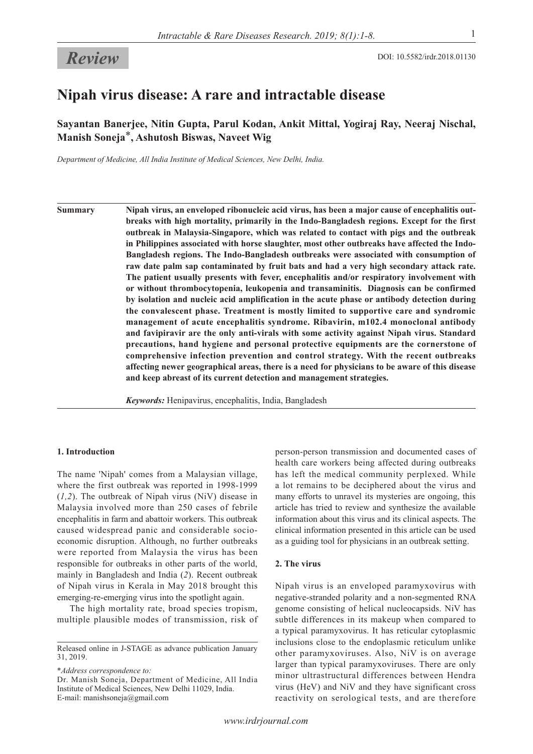# **Review** DOI: 10.5582/irdr.2018.01130

# **Nipah virus disease: A rare and intractable disease**

**Sayantan Banerjee, Nitin Gupta, Parul Kodan, Ankit Mittal, Yogiraj Ray, Neeraj Nischal, Manish Soneja**\***, Ashutosh Biswas, Naveet Wig**

*Department of Medicine, All India Institute of Medical Sciences, New Delhi, India.*

**Summary Nipah virus, an enveloped ribonucleic acid virus, has been a major cause of encephalitis outbreaks with high mortality, primarily in the Indo-Bangladesh regions. Except for the first outbreak in Malaysia-Singapore, which was related to contact with pigs and the outbreak in Philippines associated with horse slaughter, most other outbreaks have affected the Indo-Bangladesh regions. The Indo-Bangladesh outbreaks were associated with consumption of raw date palm sap contaminated by fruit bats and had a very high secondary attack rate. The patient usually presents with fever, encephalitis and/or respiratory involvement with or without thrombocytopenia, leukopenia and transaminitis. Diagnosis can be confirmed by isolation and nucleic acid amplification in the acute phase or antibody detection during the convalescent phase. Treatment is mostly limited to supportive care and syndromic management of acute encephalitis syndrome. Ribavirin, m102.4 monoclonal antibody and favipiravir are the only anti-virals with some activity against Nipah virus. Standard precautions, hand hygiene and personal protective equipments are the cornerstone of comprehensive infection prevention and control strategy. With the recent outbreaks affecting newer geographical areas, there is a need for physicians to be aware of this disease and keep abreast of its current detection and management strategies.**

*Keywords:* Henipavirus, encephalitis, India, Bangladesh

#### **1. Introduction**

The name 'Nipah' comes from a Malaysian village, where the first outbreak was reported in 1998-1999 (*1,2*). The outbreak of Nipah virus (NiV) disease in Malaysia involved more than 250 cases of febrile encephalitis in farm and abattoir workers. This outbreak caused widespread panic and considerable socioeconomic disruption. Although, no further outbreaks were reported from Malaysia the virus has been responsible for outbreaks in other parts of the world, mainly in Bangladesh and India (*2*). Recent outbreak of Nipah virus in Kerala in May 2018 brought this emerging-re-emerging virus into the spotlight again.

The high mortality rate, broad species tropism, multiple plausible modes of transmission, risk of

\**Address correspondence to:*

person-person transmission and documented cases of health care workers being affected during outbreaks has left the medical community perplexed. While a lot remains to be deciphered about the virus and many efforts to unravel its mysteries are ongoing, this article has tried to review and synthesize the available information about this virus and its clinical aspects. The clinical information presented in this article can be used as a guiding tool for physicians in an outbreak setting.

#### **2. The virus**

Nipah virus is an enveloped paramyxovirus with negative-stranded polarity and a non-segmented RNA genome consisting of helical nucleocapsids. NiV has subtle differences in its makeup when compared to a typical paramyxovirus. It has reticular cytoplasmic inclusions close to the endoplasmic reticulum unlike other paramyxoviruses. Also, NiV is on average larger than typical paramyxoviruses. There are only minor ultrastructural differences between Hendra virus (HeV) and NiV and they have significant cross reactivity on serological tests, and are therefore

Released online in J-STAGE as advance publication January 31, 2019.

Dr. Manish Soneja, Department of Medicine, All India Institute of Medical Sciences, New Delhi 11029, India. E-mail: manishsoneja@gmail.com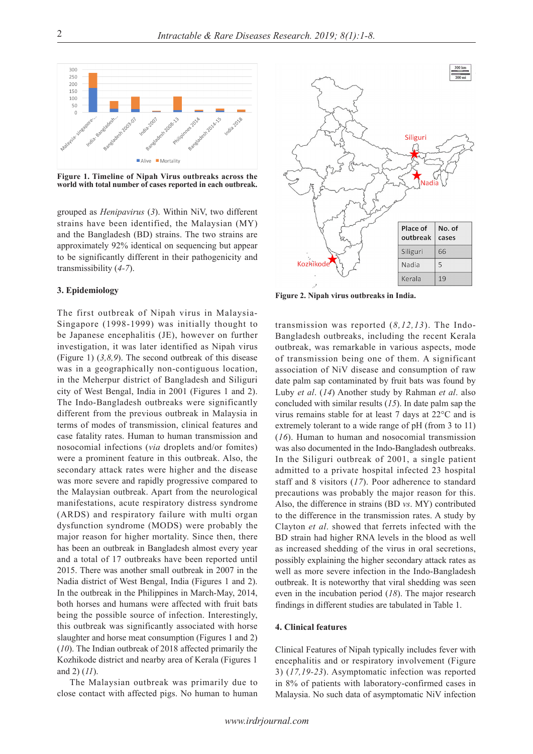

**Figure 1. Timeline of Nipah Virus outbreaks across the world with total number of cases reported in each outbreak.**

grouped as *Henipavirus* (*3*). Within NiV, two different strains have been identified, the Malaysian (MY) and the Bangladesh (BD) strains. The two strains are approximately 92% identical on sequencing but appear to be significantly different in their pathogenicity and transmissibility (*4-7*).

# **3. Epidemiology**

The first outbreak of Nipah virus in Malaysia-Singapore (1998-1999) was initially thought to be Japanese encephalitis (JE), however on further investigation, it was later identified as Nipah virus (Figure 1) (*3,8,9*). The second outbreak of this disease was in a geographically non-contiguous location, in the Meherpur district of Bangladesh and Siliguri city of West Bengal, India in 2001 (Figures 1 and 2). The Indo-Bangladesh outbreaks were significantly different from the previous outbreak in Malaysia in terms of modes of transmission, clinical features and case fatality rates. Human to human transmission and nosocomial infections (*via* droplets and/or fomites) were a prominent feature in this outbreak. Also, the secondary attack rates were higher and the disease was more severe and rapidly progressive compared to the Malaysian outbreak. Apart from the neurological manifestations, acute respiratory distress syndrome (ARDS) and respiratory failure with multi organ dysfunction syndrome (MODS) were probably the major reason for higher mortality. Since then, there has been an outbreak in Bangladesh almost every year and a total of 17 outbreaks have been reported until 2015. There was another small outbreak in 2007 in the Nadia district of West Bengal, India (Figures 1 and 2). In the outbreak in the Philippines in March-May, 2014, both horses and humans were affected with fruit bats being the possible source of infection. Interestingly, this outbreak was significantly associated with horse slaughter and horse meat consumption (Figures 1 and 2) (*10*). The Indian outbreak of 2018 affected primarily the Kozhikode district and nearby area of Kerala (Figures 1 and 2) (*11*).

The Malaysian outbreak was primarily due to close contact with affected pigs. No human to human



**Figure 2. Nipah virus outbreaks in India.**

transmission was reported (*8,12,13*). The Indo-Bangladesh outbreaks, including the recent Kerala outbreak, was remarkable in various aspects, mode of transmission being one of them. A significant association of NiV disease and consumption of raw date palm sap contaminated by fruit bats was found by Luby *et al*. (*14*) Another study by Rahman *et al*. also concluded with similar results (*15*). In date palm sap the virus remains stable for at least 7 days at 22°C and is extremely tolerant to a wide range of pH (from 3 to 11) (*16*). Human to human and nosocomial transmission was also documented in the Indo-Bangladesh outbreaks. In the Siliguri outbreak of 2001, a single patient admitted to a private hospital infected 23 hospital staff and 8 visitors (*17*). Poor adherence to standard precautions was probably the major reason for this. Also, the difference in strains (BD *vs*. MY) contributed to the difference in the transmission rates. A study by Clayton *et al*. showed that ferrets infected with the BD strain had higher RNA levels in the blood as well as increased shedding of the virus in oral secretions, possibly explaining the higher secondary attack rates as well as more severe infection in the Indo-Bangladesh outbreak. It is noteworthy that viral shedding was seen even in the incubation period (*18*). The major research findings in different studies are tabulated in Table 1.

# **4. Clinical features**

Clinical Features of Nipah typically includes fever with encephalitis and or respiratory involvement (Figure 3) (*17,19-23*). Asymptomatic infection was reported in 8% of patients with laboratory-confirmed cases in Malaysia. No such data of asymptomatic NiV infection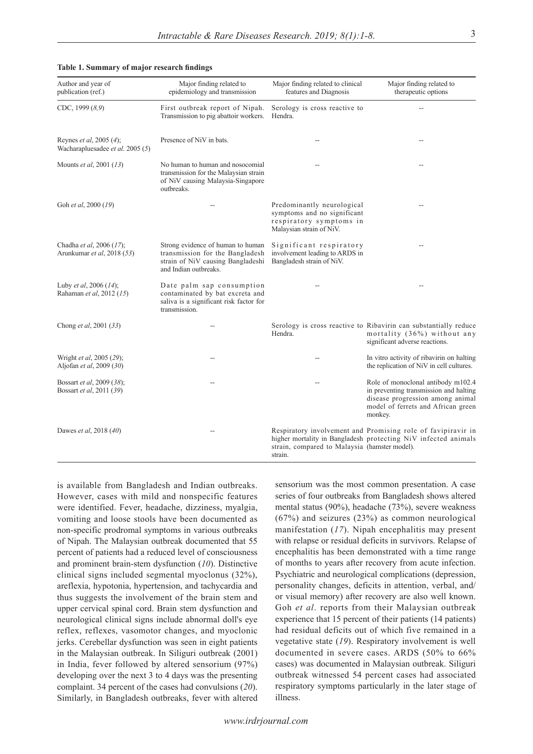| Author and year of<br>publication (ref.)                    | Major finding related to<br>epidemiology and transmission                                                                          | Major finding related to clinical<br>features and Diagnosis                                                      | Major finding related to<br>therapeutic options                                                                                                                   |
|-------------------------------------------------------------|------------------------------------------------------------------------------------------------------------------------------------|------------------------------------------------------------------------------------------------------------------|-------------------------------------------------------------------------------------------------------------------------------------------------------------------|
| CDC, 1999 (8,9)                                             | First outbreak report of Nipah.<br>Transmission to pig abattoir workers.                                                           | Serology is cross reactive to<br>Hendra.                                                                         |                                                                                                                                                                   |
| Reynes et al, 2005 (4);<br>Wacharapluesadee et al. 2005 (5) | Presence of NiV in bats.                                                                                                           | --                                                                                                               |                                                                                                                                                                   |
| Mounts <i>et al</i> , 2001 (13)                             | No human to human and nosocomial<br>transmission for the Malaysian strain<br>of NiV causing Malaysia-Singapore<br>outbreaks.       |                                                                                                                  |                                                                                                                                                                   |
| Goh et al, 2000 (19)                                        |                                                                                                                                    | Predominantly neurological<br>symptoms and no significant<br>respiratory symptoms in<br>Malaysian strain of NiV. |                                                                                                                                                                   |
| Chadha et al, 2006 (17);<br>Arunkumar et al, 2018 (53)      | Strong evidence of human to human<br>transmission for the Bangladesh<br>strain of NiV causing Bangladeshi<br>and Indian outbreaks. | Significant respiratory<br>involvement leading to ARDS in<br>Bangladesh strain of NiV.                           |                                                                                                                                                                   |
| Luby et al, 2006 (14);<br>Rahaman et al, 2012 (15)          | Date palm sap consumption<br>contaminated by bat excreta and<br>saliva is a significant risk factor for<br>transmission.           |                                                                                                                  |                                                                                                                                                                   |
| Chong et al, 2001 (33)                                      |                                                                                                                                    | Hendra.                                                                                                          | Serology is cross reactive to Ribavirin can substantially reduce<br>mortality (36%) without any<br>significant adverse reactions.                                 |
| Wright et al, 2005 (29);<br>Aljofan et al, 2009 (30)        |                                                                                                                                    |                                                                                                                  | In vitro activity of ribavirin on halting<br>the replication of NiV in cell cultures.                                                                             |
| Bossart et al, 2009 (38);<br>Bossart et al, 2011 (39)       |                                                                                                                                    |                                                                                                                  | Role of monoclonal antibody m102.4<br>in preventing transmission and halting<br>disease progression among animal<br>model of ferrets and African green<br>monkey. |
| Dawes et al, 2018 (40)                                      |                                                                                                                                    | strain, compared to Malaysia (hamster model).<br>strain.                                                         | Respiratory involvement and Promising role of favipiravir in<br>higher mortality in Bangladesh protecting NiV infected animals                                    |

#### **Table 1. Summary of major research findings**

is available from Bangladesh and Indian outbreaks. However, cases with mild and nonspecific features were identified. Fever, headache, dizziness, myalgia, vomiting and loose stools have been documented as non-specific prodromal symptoms in various outbreaks of Nipah. The Malaysian outbreak documented that 55 percent of patients had a reduced level of consciousness and prominent brain-stem dysfunction (*10*). Distinctive clinical signs included segmental myoclonus (32%), areflexia, hypotonia, hypertension, and tachycardia and thus suggests the involvement of the brain stem and upper cervical spinal cord. Brain stem dysfunction and neurological clinical signs include abnormal doll's eye reflex, reflexes, vasomotor changes, and myoclonic jerks. Cerebellar dysfunction was seen in eight patients in the Malaysian outbreak. In Siliguri outbreak (2001) in India, fever followed by altered sensorium (97%) developing over the next 3 to 4 days was the presenting complaint. 34 percent of the cases had convulsions (*20*). Similarly, in Bangladesh outbreaks, fever with altered

sensorium was the most common presentation. A case series of four outbreaks from Bangladesh shows altered mental status (90%), headache (73%), severe weakness (67%) and seizures (23%) as common neurological manifestation (*17*). Nipah encephalitis may present with relapse or residual deficits in survivors. Relapse of encephalitis has been demonstrated with a time range of months to years after recovery from acute infection. Psychiatric and neurological complications (depression, personality changes, deficits in attention, verbal, and/ or visual memory) after recovery are also well known. Goh *et al*. reports from their Malaysian outbreak experience that 15 percent of their patients (14 patients) had residual deficits out of which five remained in a vegetative state (*19*). Respiratory involvement is well documented in severe cases. ARDS (50% to 66% cases) was documented in Malaysian outbreak. Siliguri outbreak witnessed 54 percent cases had associated respiratory symptoms particularly in the later stage of illness.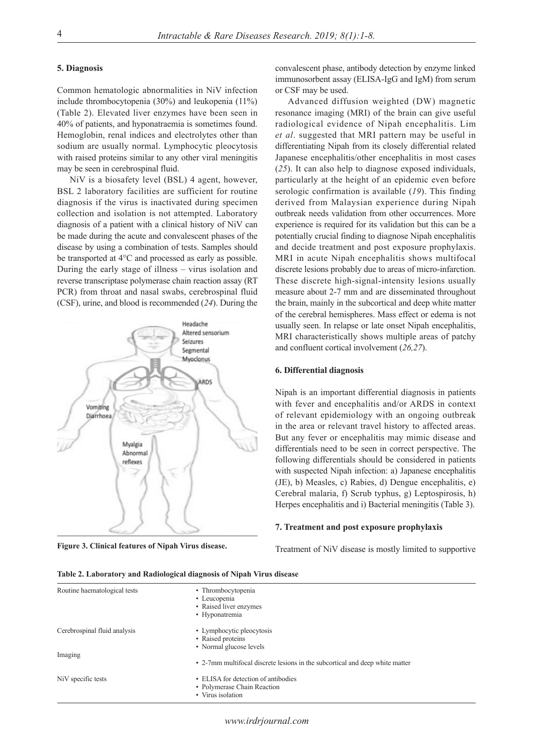#### **5. Diagnosis**

Common hematologic abnormalities in NiV infection include thrombocytopenia (30%) and leukopenia (11%) (Table 2). Elevated liver enzymes have been seen in 40% of patients, and hyponatraemia is sometimes found. Hemoglobin, renal indices and electrolytes other than sodium are usually normal. Lymphocytic pleocytosis with raised proteins similar to any other viral meningitis may be seen in cerebrospinal fluid.

NiV is a biosafety level (BSL) 4 agent, however, BSL 2 laboratory facilities are sufficient for routine diagnosis if the virus is inactivated during specimen collection and isolation is not attempted. Laboratory diagnosis of a patient with a clinical history of NiV can be made during the acute and convalescent phases of the disease by using a combination of tests. Samples should be transported at 4°C and processed as early as possible. During the early stage of illness – virus isolation and reverse transcriptase polymerase chain reaction assay (RT PCR) from throat and nasal swabs, cerebrospinal fluid (CSF), urine, and blood is recommended (*24*). During the



convalescent phase, antibody detection by enzyme linked immunosorbent assay (ELISA-IgG and IgM) from serum or CSF may be used.

Advanced diffusion weighted (DW) magnetic resonance imaging (MRI) of the brain can give useful radiological evidence of Nipah encephalitis. Lim *et al*. suggested that MRI pattern may be useful in differentiating Nipah from its closely differential related Japanese encephalitis/other encephalitis in most cases (*25*). It can also help to diagnose exposed individuals, particularly at the height of an epidemic even before serologic confirmation is available (*19*). This finding derived from Malaysian experience during Nipah outbreak needs validation from other occurrences. More experience is required for its validation but this can be a potentially crucial finding to diagnose Nipah encephalitis and decide treatment and post exposure prophylaxis. MRI in acute Nipah encephalitis shows multifocal discrete lesions probably due to areas of micro-infarction. These discrete high-signal-intensity lesions usually measure about 2-7 mm and are disseminated throughout the brain, mainly in the subcortical and deep white matter of the cerebral hemispheres. Mass effect or edema is not usually seen. In relapse or late onset Nipah encephalitis, MRI characteristically shows multiple areas of patchy and confluent cortical involvement (*26,27*).

#### **6. Differential diagnosis**

Nipah is an important differential diagnosis in patients with fever and encephalitis and/or ARDS in context of relevant epidemiology with an ongoing outbreak in the area or relevant travel history to affected areas. But any fever or encephalitis may mimic disease and differentials need to be seen in correct perspective. The following differentials should be considered in patients with suspected Nipah infection: a) Japanese encephalitis (JE), b) Measles, c) Rabies, d) Dengue encephalitis, e) Cerebral malaria, f) Scrub typhus, g) Leptospirosis, h) Herpes encephalitis and i) Bacterial meningitis (Table 3).

### **7. Treatment and post exposure prophylaxis**

Figure 3. Clinical features of Nipah Virus disease.<br>
Treatment of NiV disease is mostly limited to supportive

| Routine haematological tests | • Thrombocytopenia<br>• Leucopenia<br>• Raised liver enzymes<br>• Hyponatremia          |
|------------------------------|-----------------------------------------------------------------------------------------|
| Cerebrospinal fluid analysis | • Lymphocytic pleocytosis<br>• Raised proteins<br>• Normal glucose levels               |
| Imaging                      | • 2-7mm multifical discrete lesions in the subcortical and deep white matter            |
| NiV specific tests           | • ELISA for detection of antibodies<br>• Polymerase Chain Reaction<br>• Virus isolation |

**Table 2. Laboratory and Radiological diagnosis of Nipah Virus disease**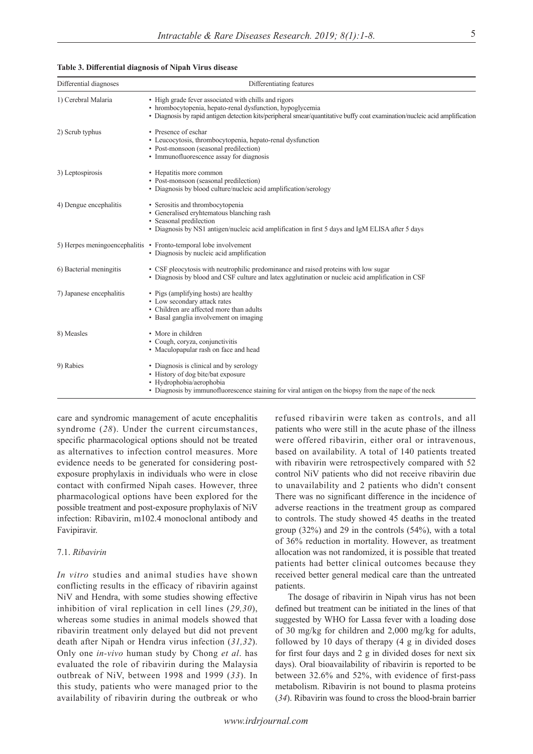| Differential diagnoses   | Differentiating features                                                                                                                                                                                                                         |  |  |
|--------------------------|--------------------------------------------------------------------------------------------------------------------------------------------------------------------------------------------------------------------------------------------------|--|--|
| 1) Cerebral Malaria      | • High grade fever associated with chills and rigors<br>· hrombocytopenia, hepato-renal dysfunction, hypoglycemia<br>• Diagnosis by rapid antigen detection kits/peripheral smear/quantitative buffy coat examination/nucleic acid amplification |  |  |
| 2) Scrub typhus          | • Presence of eschar<br>• Leucocytosis, thrombocytopenia, hepato-renal dysfunction<br>• Post-monsoon (seasonal predilection)<br>• Immunofluorescence assay for diagnosis                                                                         |  |  |
| 3) Leptospirosis         | • Hepatitis more common<br>• Post-monsoon (seasonal predilection)<br>• Diagnosis by blood culture/nucleic acid amplification/serology                                                                                                            |  |  |
| 4) Dengue encephalitis   | • Serositis and thrombocytopenia<br>• Generalised eryhtematous blanching rash<br>• Seasonal predilection<br>• Diagnosis by NS1 antigen/nucleic acid amplification in first 5 days and IgM ELISA after 5 days                                     |  |  |
|                          | 5) Herpes meningoencephalitis • Fronto-temporal lobe involvement<br>• Diagnosis by nucleic acid amplification                                                                                                                                    |  |  |
| 6) Bacterial meningitis  | • CSF pleocytosis with neutrophilic predominance and raised proteins with low sugar<br>• Diagnosis by blood and CSF culture and latex agglutination or nucleic acid amplification in CSF                                                         |  |  |
| 7) Japanese encephalitis | • Pigs (amplifying hosts) are healthy<br>• Low secondary attack rates<br>• Children are affected more than adults<br>• Basal ganglia involvement on imaging                                                                                      |  |  |
| 8) Measles               | • More in children<br>• Cough, coryza, conjunctivitis<br>• Maculopapular rash on face and head                                                                                                                                                   |  |  |
| 9) Rabies                | • Diagnosis is clinical and by serology<br>• History of dog bite/bat exposure<br>· Hydrophobia/aerophobia<br>• Diagnosis by immunofluorescence staining for viral antigen on the biopsy from the nape of the neck                                |  |  |

# **Table 3. Differential diagnosis of Nipah Virus disease**

care and syndromic management of acute encephalitis syndrome (*28*). Under the current circumstances, specific pharmacological options should not be treated as alternatives to infection control measures. More evidence needs to be generated for considering postexposure prophylaxis in individuals who were in close contact with confirmed Nipah cases. However, three pharmacological options have been explored for the possible treatment and post-exposure prophylaxis of NiV infection: Ribavirin, m102.4 monoclonal antibody and Favipiravir.

#### 7.1. *Ribavirin*

*In vitro* studies and animal studies have shown conflicting results in the efficacy of ribavirin against NiV and Hendra, with some studies showing effective inhibition of viral replication in cell lines (*29,30*), whereas some studies in animal models showed that ribavirin treatment only delayed but did not prevent death after Nipah or Hendra virus infection (*31,32*). Only one *in-vivo* human study by Chong *et al*. has evaluated the role of ribavirin during the Malaysia outbreak of NiV, between 1998 and 1999 (*33*). In this study, patients who were managed prior to the availability of ribavirin during the outbreak or who

refused ribavirin were taken as controls, and all patients who were still in the acute phase of the illness were offered ribavirin, either oral or intravenous, based on availability. A total of 140 patients treated with ribavirin were retrospectively compared with 52 control NiV patients who did not receive ribavirin due to unavailability and 2 patients who didn't consent There was no significant difference in the incidence of adverse reactions in the treatment group as compared to controls. The study showed 45 deaths in the treated group (32%) and 29 in the controls (54%), with a total of 36% reduction in mortality. However, as treatment allocation was not randomized, it is possible that treated patients had better clinical outcomes because they received better general medical care than the untreated patients.

The dosage of ribavirin in Nipah virus has not been defined but treatment can be initiated in the lines of that suggested by WHO for Lassa fever with a loading dose of 30 mg/kg for children and 2,000 mg/kg for adults, followed by 10 days of therapy (4 g in divided doses for first four days and 2 g in divided doses for next six days). Oral bioavailability of ribavirin is reported to be between 32.6% and 52%, with evidence of first-pass metabolism. Ribavirin is not bound to plasma proteins (*34*). Ribavirin was found to cross the blood-brain barrier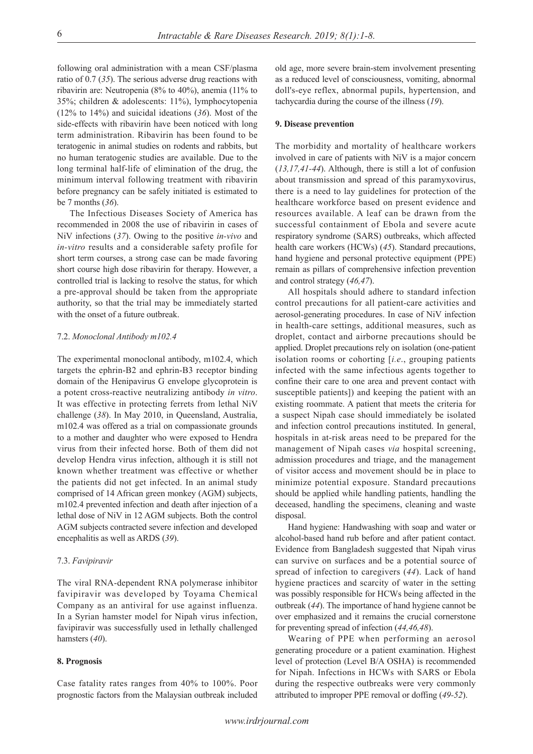following oral administration with a mean CSF/plasma ratio of 0.7 (*35*). The serious adverse drug reactions with ribavirin are: Neutropenia (8% to 40%), anemia (11% to 35%; children & adolescents: 11%), lymphocytopenia (12% to 14%) and suicidal ideations (*36*). Most of the side-effects with ribavirin have been noticed with long term administration. Ribavirin has been found to be teratogenic in animal studies on rodents and rabbits, but no human teratogenic studies are available. Due to the long terminal half-life of elimination of the drug, the minimum interval following treatment with ribavirin before pregnancy can be safely initiated is estimated to be 7 months (*36*).

The Infectious Diseases Society of America has recommended in 2008 the use of ribavirin in cases of NiV infections (*37*). Owing to the positive *in-vivo* and *in-vitro* results and a considerable safety profile for short term courses, a strong case can be made favoring short course high dose ribavirin for therapy. However, a controlled trial is lacking to resolve the status, for which a pre-approval should be taken from the appropriate authority, so that the trial may be immediately started with the onset of a future outbreak.

### 7.2. *Monoclonal Antibody m102.4*

The experimental monoclonal antibody, m102.4, which targets the ephrin-B2 and ephrin-B3 receptor binding domain of the Henipavirus G envelope glycoprotein is a potent cross-reactive neutralizing antibody *in vitro*. It was effective in protecting ferrets from lethal NiV challenge (*38*). In May 2010, in Queensland, Australia, m102.4 was offered as a trial on compassionate grounds to a mother and daughter who were exposed to Hendra virus from their infected horse. Both of them did not develop Hendra virus infection, although it is still not known whether treatment was effective or whether the patients did not get infected. In an animal study comprised of 14 African green monkey (AGM) subjects, m102.4 prevented infection and death after injection of a lethal dose of NiV in 12 AGM subjects. Both the control AGM subjects contracted severe infection and developed encephalitis as well as ARDS (*39*).

#### 7.3. *Favipiravir*

The viral RNA-dependent RNA polymerase inhibitor favipiravir was developed by Toyama Chemical Company as an antiviral for use against influenza. In a Syrian hamster model for Nipah virus infection, favipiravir was successfully used in lethally challenged hamsters (*40*).

### **8. Prognosis**

Case fatality rates ranges from 40% to 100%. Poor prognostic factors from the Malaysian outbreak included

old age, more severe brain-stem involvement presenting as a reduced level of consciousness, vomiting, abnormal doll's-eye reflex, abnormal pupils, hypertension, and tachycardia during the course of the illness (*19*).

# **9. Disease prevention**

The morbidity and mortality of healthcare workers involved in care of patients with NiV is a major concern (*13,17,41-44*). Although, there is still a lot of confusion about transmission and spread of this paramyxovirus, there is a need to lay guidelines for protection of the healthcare workforce based on present evidence and resources available. A leaf can be drawn from the successful containment of Ebola and severe acute respiratory syndrome (SARS) outbreaks, which affected health care workers (HCWs) (*45*). Standard precautions, hand hygiene and personal protective equipment (PPE) remain as pillars of comprehensive infection prevention and control strategy (*46,47*).

All hospitals should adhere to standard infection control precautions for all patient-care activities and aerosol-generating procedures. In case of NiV infection in health-care settings, additional measures, such as droplet, contact and airborne precautions should be applied. Droplet precautions rely on isolation (one-patient isolation rooms or cohorting [*i.e*., grouping patients infected with the same infectious agents together to confine their care to one area and prevent contact with susceptible patients]) and keeping the patient with an existing roommate. A patient that meets the criteria for a suspect Nipah case should immediately be isolated and infection control precautions instituted. In general, hospitals in at-risk areas need to be prepared for the management of Nipah cases *via* hospital screening, admission procedures and triage, and the management of visitor access and movement should be in place to minimize potential exposure. Standard precautions should be applied while handling patients, handling the deceased, handling the specimens, cleaning and waste disposal.

Hand hygiene: Handwashing with soap and water or alcohol-based hand rub before and after patient contact. Evidence from Bangladesh suggested that Nipah virus can survive on surfaces and be a potential source of spread of infection to caregivers (*44*). Lack of hand hygiene practices and scarcity of water in the setting was possibly responsible for HCWs being affected in the outbreak (*44*). The importance of hand hygiene cannot be over emphasized and it remains the crucial cornerstone for preventing spread of infection (*44,46,48*).

Wearing of PPE when performing an aerosol generating procedure or a patient examination. Highest level of protection (Level B/A OSHA) is recommended for Nipah. Infections in HCWs with SARS or Ebola during the respective outbreaks were very commonly attributed to improper PPE removal or doffing (*49-52*).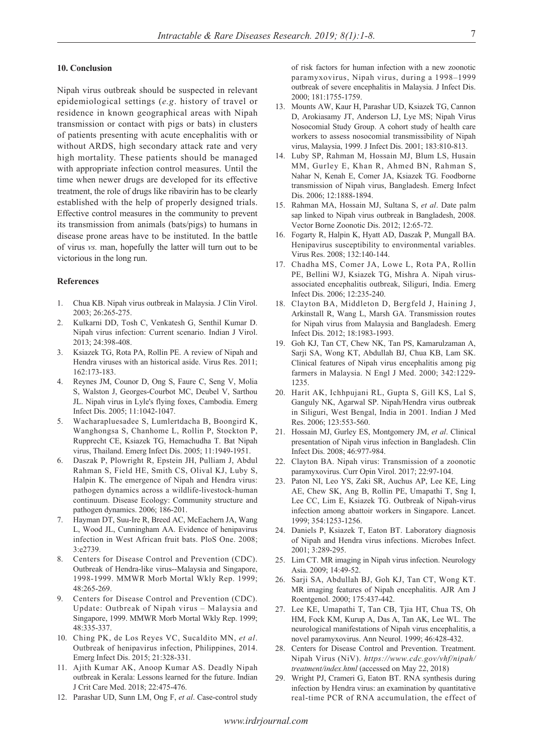# **10. Conclusion**

Nipah virus outbreak should be suspected in relevant epidemiological settings (*e.g*. history of travel or residence in known geographical areas with Nipah transmission or contact with pigs or bats) in clusters of patients presenting with acute encephalitis with or without ARDS, high secondary attack rate and very high mortality. These patients should be managed with appropriate infection control measures. Until the time when newer drugs are developed for its effective treatment, the role of drugs like ribavirin has to be clearly established with the help of properly designed trials. Effective control measures in the community to prevent its transmission from animals (bats/pigs) to humans in disease prone areas have to be instituted. In the battle of virus *vs.* man, hopefully the latter will turn out to be victorious in the long run.

#### **References**

- 1. Chua KB. Nipah virus outbreak in Malaysia. J Clin Virol. 2003; 26:265-275.
- 2. Kulkarni DD, Tosh C, Venkatesh G, Senthil Kumar D. Nipah virus infection: Current scenario. Indian J Virol. 2013; 24:398-408.
- 3. Ksiazek TG, Rota PA, Rollin PE. A review of Nipah and Hendra viruses with an historical aside. Virus Res. 2011; 162:173-183.
- 4. Reynes JM, Counor D, Ong S, Faure C, Seng V, Molia S, Walston J, Georges-Courbot MC, Deubel V, Sarthou JL. Nipah virus in Lyle's flying foxes, Cambodia. Emerg Infect Dis. 2005; 11:1042-1047.
- 5. Wacharapluesadee S, Lumlertdacha B, Boongird K, Wanghongsa S, Chanhome L, Rollin P, Stockton P, Rupprecht CE, Ksiazek TG, Hemachudha T. Bat Nipah virus, Thailand. Emerg Infect Dis. 2005; 11:1949-1951.
- 6. Daszak P, Plowright R, Epstein JH, Pulliam J, Abdul Rahman S, Field HE, Smith CS, Olival KJ, Luby S, Halpin K. The emergence of Nipah and Hendra virus: pathogen dynamics across a wildlife-livestock-human continuum. Disease Ecology: Community structure and pathogen dynamics. 2006; 186-201.
- 7. Hayman DT, Suu-Ire R, Breed AC, McEachern JA, Wang L, Wood JL, Cunningham AA. Evidence of henipavirus infection in West African fruit bats. PloS One. 2008; 3:e2739.
- 8. Centers for Disease Control and Prevention (CDC). Outbreak of Hendra-like virus--Malaysia and Singapore, 1998-1999. MMWR Morb Mortal Wkly Rep. 1999; 48:265-269.
- 9. Centers for Disease Control and Prevention (CDC). Update: Outbreak of Nipah virus - Malaysia and Singapore, 1999. MMWR Morb Mortal Wkly Rep. 1999; 48:335-337.
- 10. Ching PK, de Los Reyes VC, Sucaldito MN, *et al*. Outbreak of henipavirus infection, Philippines, 2014. Emerg Infect Dis. 2015; 21:328-331.
- 11. Ajith Kumar AK, Anoop Kumar AS. Deadly Nipah outbreak in Kerala: Lessons learned for the future. Indian J Crit Care Med. 2018; 22:475-476.
- 12. Parashar UD, Sunn LM, Ong F, *et al*. Case-control study

of risk factors for human infection with a new zoonotic paramyxovirus, Nipah virus, during a 1998–1999 outbreak of severe encephalitis in Malaysia. J Infect Dis. 2000; 181:1755-1759.

- 13. Mounts AW, Kaur H, Parashar UD, Ksiazek TG, Cannon D, Arokiasamy JT, Anderson LJ, Lye MS; Nipah Virus Nosocomial Study Group. A cohort study of health care workers to assess nosocomial transmissibility of Nipah virus, Malaysia, 1999. J Infect Dis. 2001; 183:810-813.
- 14. Luby SP, Rahman M, Hossain MJ, Blum LS, Husain MM, Gurley E, Khan R, Ahmed BN, Rahman S, Nahar N, Kenah E, Comer JA, Ksiazek TG. Foodborne transmission of Nipah virus, Bangladesh. Emerg Infect Dis. 2006; 12:1888-1894.
- 15. Rahman MA, Hossain MJ, Sultana S, *et al*. Date palm sap linked to Nipah virus outbreak in Bangladesh, 2008. Vector Borne Zoonotic Dis. 2012; 12:65-72.
- 16. Fogarty R, Halpin K, Hyatt AD, Daszak P, Mungall BA. Henipavirus susceptibility to environmental variables. Virus Res. 2008; 132:140-144.
- 17. Chadha MS, Comer JA, Lowe L, Rota PA, Rollin PE, Bellini WJ, Ksiazek TG, Mishra A. Nipah virusassociated encephalitis outbreak, Siliguri, India. Emerg Infect Dis. 2006; 12:235-240.
- 18. Clayton BA, Middleton D, Bergfeld J, Haining J, Arkinstall R, Wang L, Marsh GA. Transmission routes for Nipah virus from Malaysia and Bangladesh. Emerg Infect Dis. 2012; 18:1983-1993.
- 19. Goh KJ, Tan CT, Chew NK, Tan PS, Kamarulzaman A, Sarji SA, Wong KT, Abdullah BJ, Chua KB, Lam SK. Clinical features of Nipah virus encephalitis among pig farmers in Malaysia. N Engl J Med. 2000; 342:1229- 1235.
- 20. Harit AK, Ichhpujani RL, Gupta S, Gill KS, Lal S, Ganguly NK, Agarwal SP. Nipah/Hendra virus outbreak in Siliguri, West Bengal, India in 2001. Indian J Med Res. 2006; 123:553-560.
- 21. Hossain MJ, Gurley ES, Montgomery JM, *et al*. Clinical presentation of Nipah virus infection in Bangladesh. Clin Infect Dis. 2008; 46:977-984.
- 22. Clayton BA. Nipah virus: Transmission of a zoonotic paramyxovirus. Curr Opin Virol. 2017; 22:97-104.
- 23. Paton NI, Leo YS, Zaki SR, Auchus AP, Lee KE, Ling AE, Chew SK, Ang B, Rollin PE, Umapathi T, Sng I, Lee CC, Lim E, Ksiazek TG. Outbreak of Nipah-virus infection among abattoir workers in Singapore. Lancet. 1999; 354:1253-1256.
- 24. Daniels P, Ksiazek T, Eaton BT. Laboratory diagnosis of Nipah and Hendra virus infections. Microbes Infect. 2001; 3:289-295.
- 25. Lim CT. MR imaging in Nipah virus infection. Neurology Asia. 2009; 14:49-52.
- 26. Sarji SA, Abdullah BJ, Goh KJ, Tan CT, Wong KT. MR imaging features of Nipah encephalitis. AJR Am J Roentgenol. 2000; 175:437-442.
- 27. Lee KE, Umapathi T, Tan CB, Tjia HT, Chua TS, Oh HM, Fock KM, Kurup A, Das A, Tan AK, Lee WL. The neurological manifestations of Nipah virus encephalitis, a novel paramyxovirus. Ann Neurol. 1999; 46:428-432.
- 28. Centers for Disease Control and Prevention. Treatment. Nipah Virus (NiV). *https://www.cdc.gov/vhf/nipah/ treatment/index.html* (accessed on May 22, 2018)
- 29. Wright PJ, Crameri G, Eaton BT. RNA synthesis during infection by Hendra virus: an examination by quantitative real-time PCR of RNA accumulation, the effect of